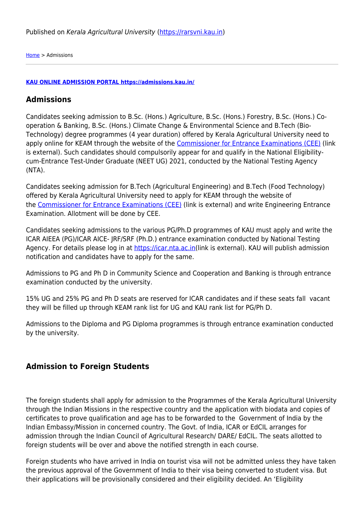[Home](https://rarsvni.kau.in/) > Admissions

## **[KAU ONLINE ADMISSION PORTAL https://admissions.kau.in/](https://admissions.kau.in/)**

## **Admissions**

Candidates seeking admission to B.Sc. (Hons.) Agriculture, B.Sc. (Hons.) Forestry, B.Sc. (Hons.) Cooperation & Banking, B.Sc. (Hons.) Climate Change & Environmental Science and B.Tech (Bio-Technology) degree programmes (4 year duration) offered by Kerala Agricultural University need to apply online for KEAM through the website of the [Commissioner for Entrance Examinations \(CEE\)](https://cee.kerala.gov.in/main.php) (link is external). Such candidates should compulsorily appear for and qualify in the National Eligibilitycum-Entrance Test-Under Graduate (NEET UG) 2021, conducted by the National Testing Agency (NTA).

Candidates seeking admission for B.Tech (Agricultural Engineering) and B.Tech (Food Technology) offered by Kerala Agricultural University need to apply for KEAM through the website of the [Commissioner for Entrance Examinations \(CEE\)](https://www.cee.kerala.gov.in) (link is external) and write Engineering Entrance Examination. Allotment will be done by CEE.

Candidates seeking admissions to the various PG/Ph.D programmes of KAU must apply and write the ICAR AIEEA (PG)/ICAR AICE- JRF/SRF (Ph.D.) entrance examination conducted by National Testing Agency. For details please log in at [https://icar.nta.ac.in\(](https://icar.nta.ac.in/)link is external). KAU will publish admission notification and candidates have to apply for the same.

Admissions to PG and Ph D in Community Science and Cooperation and Banking is through entrance examination conducted by the university.

15% UG and 25% PG and Ph D seats are reserved for ICAR candidates and if these seats fall vacant they will be filled up through KEAM rank list for UG and KAU rank list for PG/Ph D.

Admissions to the Diploma and PG Diploma programmes is through entrance examination conducted by the university.

## **Admission to Foreign Students**

The foreign students shall apply for admission to the Programmes of the Kerala Agricultural University through the Indian Missions in the respective country and the application with biodata and copies of certificates to prove qualification and age has to be forwarded to the Government of India by the Indian Embassy/Mission in concerned country. The Govt. of India, ICAR or EdCIL arranges for admission through the Indian Council of Agricultural Research/ DARE/ EdCIL. The seats allotted to foreign students will be over and above the notified strength in each course.

Foreign students who have arrived in India on tourist visa will not be admitted unless they have taken the previous approval of the Government of India to their visa being converted to student visa. But their applications will be provisionally considered and their eligibility decided. An 'Eligibility